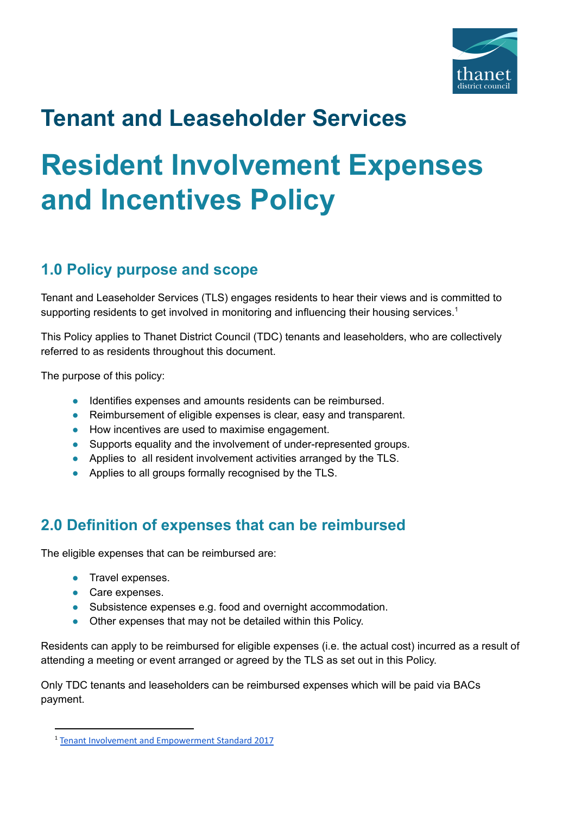

## **Tenant and Leaseholder Services**

# **Resident Involvement Expenses and Incentives Policy**

## **1.0 Policy purpose and scope**

Tenant and Leaseholder Services (TLS) engages residents to hear their views and is committed to supporting residents to get involved in monitoring and influencing their housing services.<sup>1</sup>

This Policy applies to Thanet District Council (TDC) tenants and leaseholders, who are collectively referred to as residents throughout this document.

The purpose of this policy:

- Identifies expenses and amounts residents can be reimbursed.
- Reimbursement of eligible expenses is clear, easy and transparent.
- How incentives are used to maximise engagement.
- Supports equality and the involvement of under-represented groups.
- Applies to all resident involvement activities arranged by the TLS.
- Applies to all groups formally recognised by the TLS.

## **2.0 Definition of expenses that can be reimbursed**

The eligible expenses that can be reimbursed are:

- **•** Travel expenses.
- Care expenses.
- Subsistence expenses e.g. food and overnight accommodation.
- Other expenses that may not be detailed within this Policy.

Residents can apply to be reimbursed for eligible expenses (i.e. the actual cost) incurred as a result of attending a meeting or event arranged or agreed by the TLS as set out in this Policy.

Only TDC tenants and leaseholders can be reimbursed expenses which will be paid via BACs payment.

<sup>1</sup> Tenant Involvement and [Empowerment](https://www.gov.uk/government/publications/tenant-involvement-and-empowerment-standard/tenant-involvement-and-empowerment-standard-2017) Standard 2017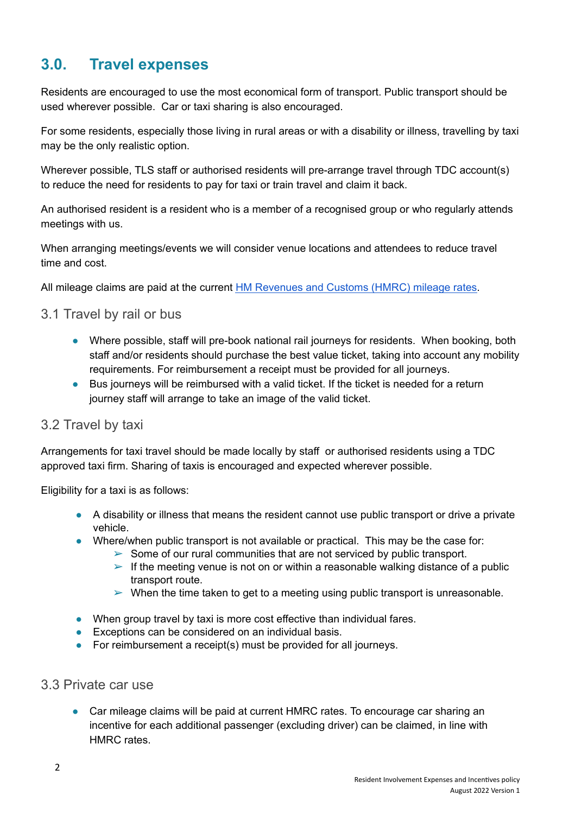## **3.0. Travel expenses**

Residents are encouraged to use the most economical form of transport. Public transport should be used wherever possible. Car or taxi sharing is also encouraged.

For some residents, especially those living in rural areas or with a disability or illness, travelling by taxi may be the only realistic option.

Wherever possible, TLS staff or authorised residents will pre-arrange travel through TDC account(s) to reduce the need for residents to pay for taxi or train travel and claim it back.

An authorised resident is a resident who is a member of a recognised group or who regularly attends meetings with us.

When arranging meetings/events we will consider venue locations and attendees to reduce travel time and cost.

All mileage claims are paid at the current HM [Revenues](https://www.gov.uk/government/publications/rates-and-allowances-travel-mileage-and-fuel-allowances/travel-mileage-and-fuel-rates-and-allowances) and Customs (HMRC) mileage rates.

#### 3.1 Travel by rail or bus

- Where possible, staff will pre-book national rail journeys for residents. When booking, both staff and/or residents should purchase the best value ticket, taking into account any mobility requirements. For reimbursement a receipt must be provided for all journeys.
- Bus journeys will be reimbursed with a valid ticket. If the ticket is needed for a return journey staff will arrange to take an image of the valid ticket.

#### 3.2 Travel by taxi

Arrangements for taxi travel should be made locally by staff or authorised residents using a TDC approved taxi firm. Sharing of taxis is encouraged and expected wherever possible.

Eligibility for a taxi is as follows:

- A disability or illness that means the resident cannot use public transport or drive a private vehicle.
- Where/when public transport is not available or practical. This may be the case for:
	- $\triangleright$  Some of our rural communities that are not serviced by public transport.
	- $\triangleright$  If the meeting venue is not on or within a reasonable walking distance of a public transport route.
	- $\triangleright$  When the time taken to get to a meeting using public transport is unreasonable.
- When group travel by taxi is more cost effective than individual fares.
- Exceptions can be considered on an individual basis.
- For reimbursement a receipt(s) must be provided for all journeys.

#### 3.3 Private car use

● Car mileage claims will be paid at current HMRC rates. To encourage car sharing an incentive for each additional passenger (excluding driver) can be claimed, in line with HMRC rates.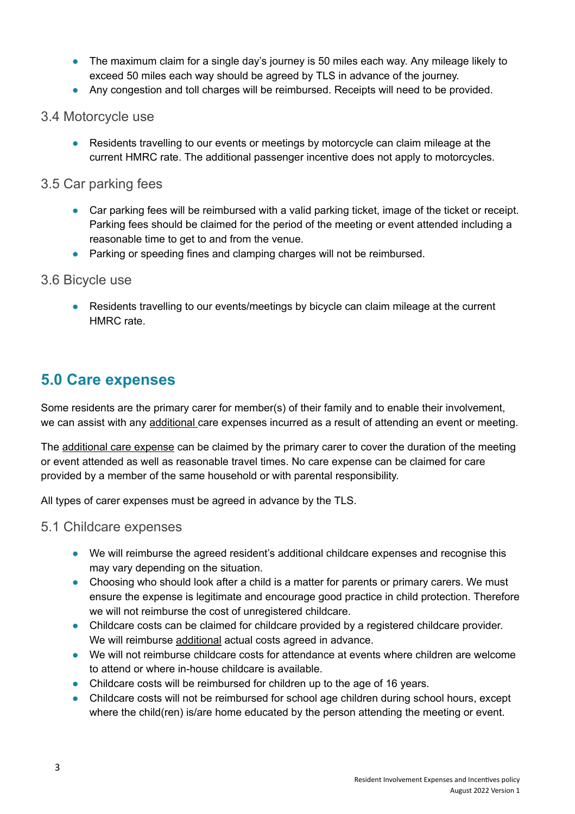- The maximum claim for a single day's journey is 50 miles each way. Any mileage likely to exceed 50 miles each way should be agreed by TLS in advance of the journey.
- Any congestion and toll charges will be reimbursed. Receipts will need to be provided.
- 3.4 Motorcycle use
	- Residents travelling to our events or meetings by motorcycle can claim mileage at the current HMRC rate. The additional passenger incentive does not apply to motorcycles.
- 3.5 Car parking fees
	- Car parking fees will be reimbursed with a valid parking ticket, image of the ticket or receipt. Parking fees should be claimed for the period of the meeting or event attended including a reasonable time to get to and from the venue.
	- Parking or speeding fines and clamping charges will not be reimbursed.

#### 3.6 Bicycle use

● Residents travelling to our events/meetings by bicycle can claim mileage at the current HMRC rate.

#### **5.0 Care expenses**

Some residents are the primary carer for member(s) of their family and to enable their involvement, we can assist with any additional care expenses incurred as a result of attending an event or meeting.

The additional care expense can be claimed by the primary carer to cover the duration of the meeting or event attended as well as reasonable travel times. No care expense can be claimed for care provided by a member of the same household or with parental responsibility.

All types of carer expenses must be agreed in advance by the TLS.

#### 5.1 Childcare expenses

- We will reimburse the agreed resident's additional childcare expenses and recognise this may vary depending on the situation.
- Choosing who should look after a child is a matter for parents or primary carers. We must ensure the expense is legitimate and encourage good practice in child protection. Therefore we will not reimburse the cost of unregistered childcare.
- Childcare costs can be claimed for childcare provided by a registered childcare provider. We will reimburse additional actual costs agreed in advance.
- We will not reimburse childcare costs for attendance at events where children are welcome to attend or where in-house childcare is available.
- Childcare costs will be reimbursed for children up to the age of 16 years.
- Childcare costs will not be reimbursed for school age children during school hours, except where the child(ren) is/are home educated by the person attending the meeting or event.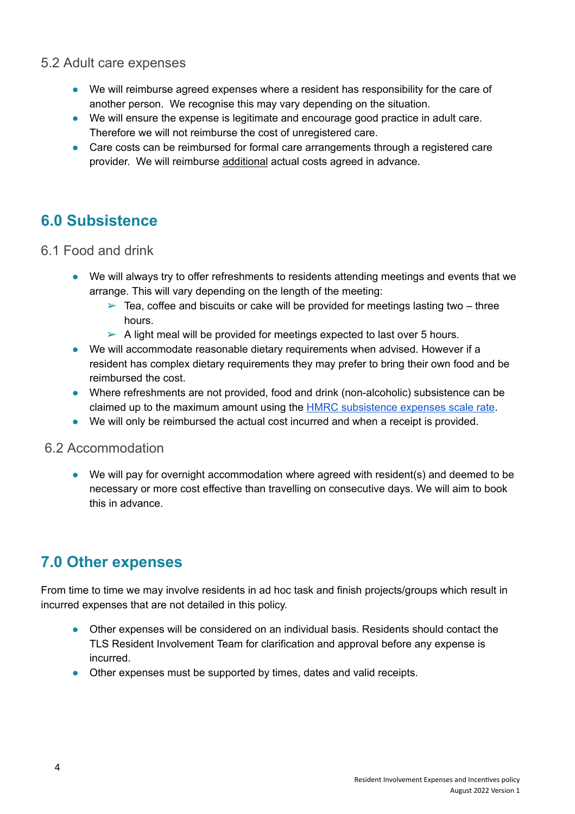#### 5.2 Adult care expenses

- We will reimburse agreed expenses where a resident has responsibility for the care of another person. We recognise this may vary depending on the situation.
- We will ensure the expense is legitimate and encourage good practice in adult care. Therefore we will not reimburse the cost of unregistered care.
- Care costs can be reimbursed for formal care arrangements through a registered care provider. We will reimburse additional actual costs agreed in advance.

## **6.0 Subsistence**

- 6.1 Food and drink
	- We will always try to offer refreshments to residents attending meetings and events that we arrange. This will vary depending on the length of the meeting:
		- $\geq$  Tea, coffee and biscuits or cake will be provided for meetings lasting two three hours.
		- $\triangleright$  A light meal will be provided for meetings expected to last over 5 hours.
	- We will accommodate reasonable dietary requirements when advised. However if a resident has complex dietary requirements they may prefer to bring their own food and be reimbursed the cost.
	- Where refreshments are not provided, food and drink (non-alcoholic) subsistence can be claimed up to the maximum amount using the HMRC [subsistence](https://www.gov.uk/hmrc-internal-manuals/employment-income-manual/eim05231) expenses scale rate.
	- We will only be reimbursed the actual cost incurred and when a receipt is provided.

#### 6.2 Accommodation

● We will pay for overnight accommodation where agreed with resident(s) and deemed to be necessary or more cost effective than travelling on consecutive days. We will aim to book this in advance.

## **7.0 Other expenses**

From time to time we may involve residents in ad hoc task and finish projects/groups which result in incurred expenses that are not detailed in this policy.

- Other expenses will be considered on an individual basis. Residents should contact the TLS Resident Involvement Team for clarification and approval before any expense is incurred.
- Other expenses must be supported by times, dates and valid receipts.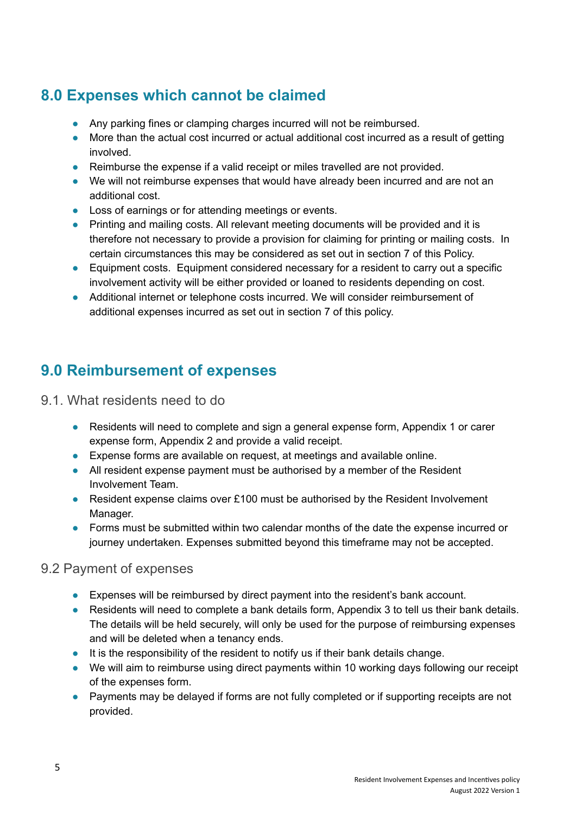## **8.0 Expenses which cannot be claimed**

- Any parking fines or clamping charges incurred will not be reimbursed.
- More than the actual cost incurred or actual additional cost incurred as a result of getting involved.
- Reimburse the expense if a valid receipt or miles travelled are not provided.
- We will not reimburse expenses that would have already been incurred and are not an additional cost.
- Loss of earnings or for attending meetings or events.
- Printing and mailing costs. All relevant meeting documents will be provided and it is therefore not necessary to provide a provision for claiming for printing or mailing costs. In certain circumstances this may be considered as set out in section 7 of this Policy.
- Equipment costs. Equipment considered necessary for a resident to carry out a specific involvement activity will be either provided or loaned to residents depending on cost.
- Additional internet or telephone costs incurred. We will consider reimbursement of additional expenses incurred as set out in section 7 of this policy.

### **9.0 Reimbursement of expenses**

- 9.1. What residents need to do
	- Residents will need to complete and sign a general expense form, Appendix 1 or carer expense form, Appendix 2 and provide a valid receipt.
	- Expense forms are available on request, at meetings and available online.
	- All resident expense payment must be authorised by a member of the Resident Involvement Team.
	- Resident expense claims over £100 must be authorised by the Resident Involvement Manager.
	- Forms must be submitted within two calendar months of the date the expense incurred or journey undertaken. Expenses submitted beyond this timeframe may not be accepted.

#### 9.2 Payment of expenses

- Expenses will be reimbursed by direct payment into the resident's bank account.
- Residents will need to complete a bank details form, Appendix 3 to tell us their bank details. The details will be held securely, will only be used for the purpose of reimbursing expenses and will be deleted when a tenancy ends.
- It is the responsibility of the resident to notify us if their bank details change.
- We will aim to reimburse using direct payments within 10 working days following our receipt of the expenses form.
- Payments may be delayed if forms are not fully completed or if supporting receipts are not provided.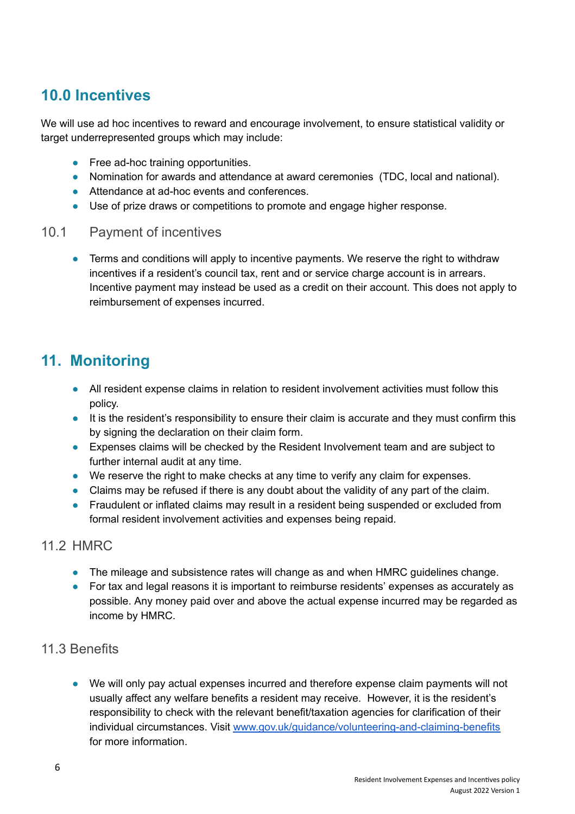## **10.0 Incentives**

We will use ad hoc incentives to reward and encourage involvement, to ensure statistical validity or target underrepresented groups which may include:

- Free ad-hoc training opportunities.
- Nomination for awards and attendance at award ceremonies (TDC, local and national).
- Attendance at ad-hoc events and conferences.
- Use of prize draws or competitions to promote and engage higher response.

#### 10.1 Payment of incentives

● Terms and conditions will apply to incentive payments. We reserve the right to withdraw incentives if a resident's council tax, rent and or service charge account is in arrears. Incentive payment may instead be used as a credit on their account. This does not apply to reimbursement of expenses incurred.

### **11. Monitoring**

- All resident expense claims in relation to resident involvement activities must follow this policy.
- It is the resident's responsibility to ensure their claim is accurate and they must confirm this by signing the declaration on their claim form.
- Expenses claims will be checked by the Resident Involvement team and are subject to further internal audit at any time.
- We reserve the right to make checks at any time to verify any claim for expenses.
- Claims may be refused if there is any doubt about the validity of any part of the claim.
- Fraudulent or inflated claims may result in a resident being suspended or excluded from formal resident involvement activities and expenses being repaid.

#### 11.2 HMRC

- The mileage and subsistence rates will change as and when HMRC guidelines change.
- For tax and legal reasons it is important to reimburse residents' expenses as accurately as possible. Any money paid over and above the actual expense incurred may be regarded as income by HMRC.

#### 11.3 Benefits

We will only pay actual expenses incurred and therefore expense claim payments will not usually affect any welfare benefits a resident may receive. However, it is the resident's responsibility to check with the relevant benefit/taxation agencies for clarification of their individual circumstances. Visit [www.gov.uk/guidance/volunteering-and-claiming-benefits](http://www.gov.uk/guidance/volunteering-and-claiming-benefits) for more information.